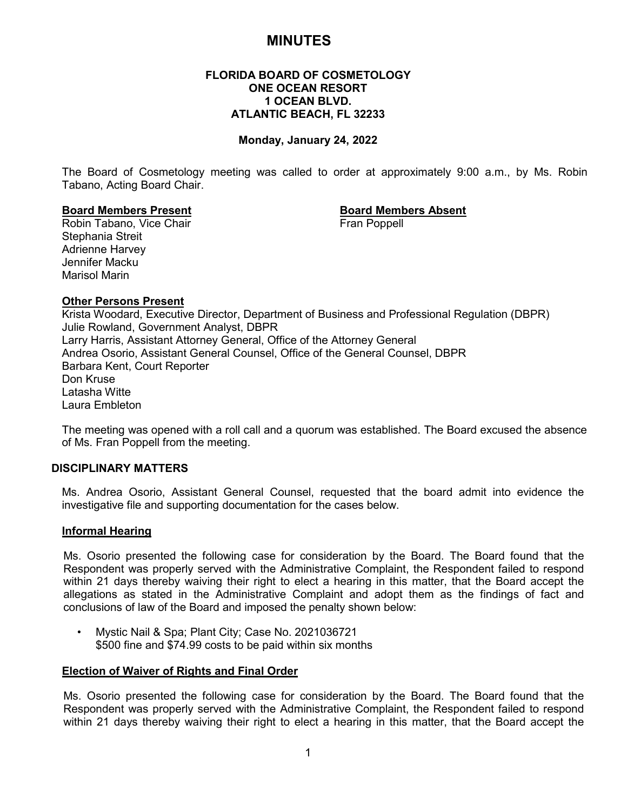# **MINUTES**

### **FLORIDA BOARD OF COSMETOLOGY ONE OCEAN RESORT 1 OCEAN BLVD. ATLANTIC BEACH, FL 32233**

### **Monday, January 24, 2022**

The Board of Cosmetology meeting was called to order at approximately 9:00 a.m., by Ms. Robin Tabano, Acting Board Chair.

**Board Members Present Board Members Absent** Robin Tabano, Vice Chair Stephania Streit Adrienne Harvey Jennifer Macku Marisol Marin

#### **Other Persons Present**

Krista Woodard, Executive Director, Department of Business and Professional Regulation (DBPR) Julie Rowland, Government Analyst, DBPR Larry Harris, Assistant Attorney General, Office of the Attorney General Andrea Osorio, Assistant General Counsel, Office of the General Counsel, DBPR Barbara Kent, Court Reporter Don Kruse Latasha Witte Laura Embleton

The meeting was opened with a roll call and a quorum was established. The Board excused the absence of Ms. Fran Poppell from the meeting.

#### **DISCIPLINARY MATTERS**

Ms. Andrea Osorio, Assistant General Counsel, requested that the board admit into evidence the investigative file and supporting documentation for the cases below.

#### **Informal Hearing**

Ms. Osorio presented the following case for consideration by the Board. The Board found that the Respondent was properly served with the Administrative Complaint, the Respondent failed to respond within 21 days thereby waiving their right to elect a hearing in this matter, that the Board accept the allegations as stated in the Administrative Complaint and adopt them as the findings of fact and conclusions of law of the Board and imposed the penalty shown below:

• Mystic Nail & Spa; Plant City; Case No. 2021036721 \$500 fine and \$74.99 costs to be paid within six months

#### **Election of Waiver of Rights and Final Order**

Ms. Osorio presented the following case for consideration by the Board. The Board found that the Respondent was properly served with the Administrative Complaint, the Respondent failed to respond within 21 days thereby waiving their right to elect a hearing in this matter, that the Board accept the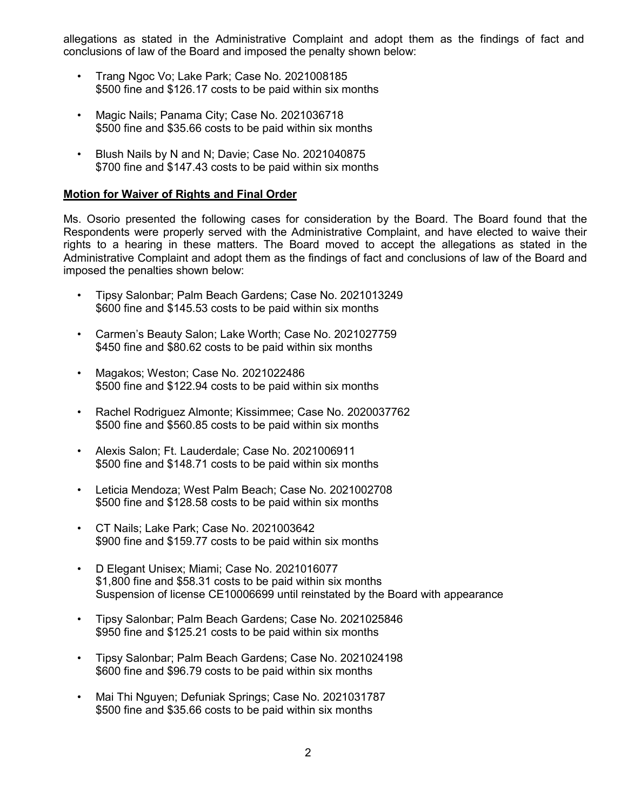allegations as stated in the Administrative Complaint and adopt them as the findings of fact and conclusions of law of the Board and imposed the penalty shown below:

- Trang Ngoc Vo; Lake Park; Case No. 2021008185 \$500 fine and \$126.17 costs to be paid within six months
- Magic Nails; Panama City; Case No. 2021036718 \$500 fine and \$35.66 costs to be paid within six months
- Blush Nails by N and N; Davie; Case No. 2021040875 \$700 fine and \$147.43 costs to be paid within six months

## **Motion for Waiver of Rights and Final Order**

Ms. Osorio presented the following cases for consideration by the Board. The Board found that the Respondents were properly served with the Administrative Complaint, and have elected to waive their rights to a hearing in these matters. The Board moved to accept the allegations as stated in the Administrative Complaint and adopt them as the findings of fact and conclusions of law of the Board and imposed the penalties shown below:

- Tipsy Salonbar; Palm Beach Gardens; Case No. 2021013249 \$600 fine and \$145.53 costs to be paid within six months
- Carmen's Beauty Salon; Lake Worth; Case No. 2021027759 \$450 fine and \$80.62 costs to be paid within six months
- Magakos; Weston; Case No. 2021022486 \$500 fine and \$122.94 costs to be paid within six months
- Rachel Rodriguez Almonte; Kissimmee; Case No. 2020037762 \$500 fine and \$560.85 costs to be paid within six months
- Alexis Salon; Ft. Lauderdale; Case No. 2021006911 \$500 fine and \$148.71 costs to be paid within six months
- Leticia Mendoza; West Palm Beach; Case No. 2021002708 \$500 fine and \$128.58 costs to be paid within six months
- CT Nails; Lake Park; Case No. 2021003642 \$900 fine and \$159.77 costs to be paid within six months
- D Elegant Unisex; Miami; Case No. 2021016077 \$1,800 fine and \$58.31 costs to be paid within six months Suspension of license CE10006699 until reinstated by the Board with appearance
- Tipsy Salonbar; Palm Beach Gardens; Case No. 2021025846 \$950 fine and \$125.21 costs to be paid within six months
- Tipsy Salonbar; Palm Beach Gardens; Case No. 2021024198 \$600 fine and \$96.79 costs to be paid within six months
- Mai Thi Nguyen; Defuniak Springs; Case No. 2021031787 \$500 fine and \$35.66 costs to be paid within six months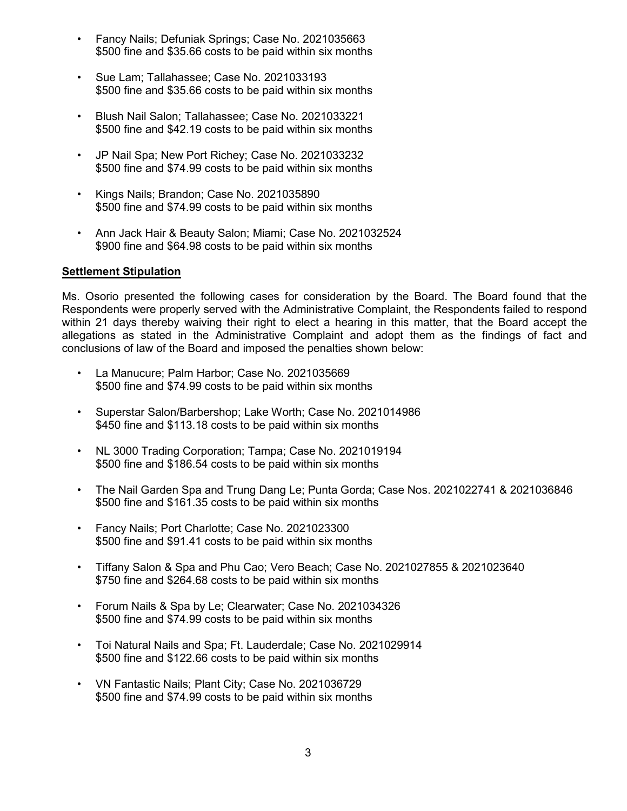- Fancy Nails; Defuniak Springs; Case No. 2021035663 \$500 fine and \$35.66 costs to be paid within six months
- Sue Lam; Tallahassee; Case No. 2021033193 \$500 fine and \$35.66 costs to be paid within six months
- Blush Nail Salon; Tallahassee; Case No. 2021033221 \$500 fine and \$42.19 costs to be paid within six months
- JP Nail Spa; New Port Richey; Case No. 2021033232 \$500 fine and \$74.99 costs to be paid within six months
- Kings Nails; Brandon; Case No. 2021035890 \$500 fine and \$74.99 costs to be paid within six months
- Ann Jack Hair & Beauty Salon; Miami; Case No. 2021032524 \$900 fine and \$64.98 costs to be paid within six months

### **Settlement Stipulation**

Ms. Osorio presented the following cases for consideration by the Board. The Board found that the Respondents were properly served with the Administrative Complaint, the Respondents failed to respond within 21 days thereby waiving their right to elect a hearing in this matter, that the Board accept the allegations as stated in the Administrative Complaint and adopt them as the findings of fact and conclusions of law of the Board and imposed the penalties shown below:

- La Manucure; Palm Harbor; Case No. 2021035669 \$500 fine and \$74.99 costs to be paid within six months
- Superstar Salon/Barbershop; Lake Worth; Case No. 2021014986 \$450 fine and \$113.18 costs to be paid within six months
- NL 3000 Trading Corporation; Tampa; Case No. 2021019194 \$500 fine and \$186.54 costs to be paid within six months
- The Nail Garden Spa and Trung Dang Le; Punta Gorda; Case Nos. 2021022741 & 2021036846 \$500 fine and \$161.35 costs to be paid within six months
- Fancy Nails; Port Charlotte; Case No. 2021023300 \$500 fine and \$91.41 costs to be paid within six months
- Tiffany Salon & Spa and Phu Cao; Vero Beach; Case No. 2021027855 & 2021023640 \$750 fine and \$264.68 costs to be paid within six months
- Forum Nails & Spa by Le; Clearwater; Case No. 2021034326 \$500 fine and \$74.99 costs to be paid within six months
- Toi Natural Nails and Spa; Ft. Lauderdale; Case No. 2021029914 \$500 fine and \$122.66 costs to be paid within six months
- VN Fantastic Nails; Plant City; Case No. 2021036729 \$500 fine and \$74.99 costs to be paid within six months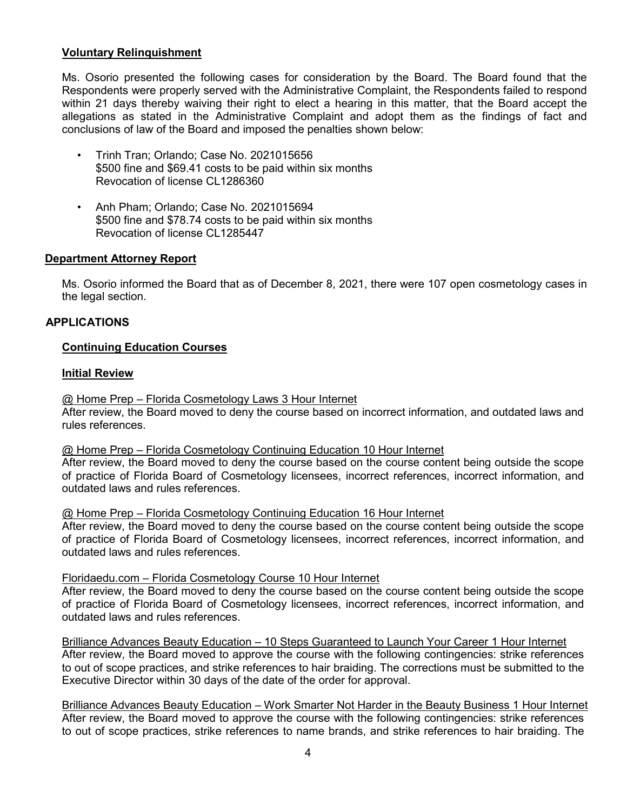## **Voluntary Relinquishment**

Ms. Osorio presented the following cases for consideration by the Board. The Board found that the Respondents were properly served with the Administrative Complaint, the Respondents failed to respond within 21 days thereby waiving their right to elect a hearing in this matter, that the Board accept the allegations as stated in the Administrative Complaint and adopt them as the findings of fact and conclusions of law of the Board and imposed the penalties shown below:

- Trinh Tran; Orlando; Case No. 2021015656 \$500 fine and \$69.41 costs to be paid within six months Revocation of license CL1286360
- Anh Pham; Orlando; Case No. 2021015694 \$500 fine and \$78.74 costs to be paid within six months Revocation of license CL1285447

## **Department Attorney Report**

Ms. Osorio informed the Board that as of December 8, 2021, there were 107 open cosmetology cases in the legal section.

### **APPLICATIONS**

### **Continuing Education Courses**

#### **Initial Review**

#### @ Home Prep – Florida Cosmetology Laws 3 Hour Internet

After review, the Board moved to deny the course based on incorrect information, and outdated laws and rules references.

#### @ Home Prep – Florida Cosmetology Continuing Education 10 Hour Internet

After review, the Board moved to deny the course based on the course content being outside the scope of practice of Florida Board of Cosmetology licensees, incorrect references, incorrect information, and outdated laws and rules references.

### @ Home Prep – Florida Cosmetology Continuing Education 16 Hour Internet

After review, the Board moved to deny the course based on the course content being outside the scope of practice of Florida Board of Cosmetology licensees, incorrect references, incorrect information, and outdated laws and rules references.

#### Floridaedu.com – Florida Cosmetology Course 10 Hour Internet

After review, the Board moved to deny the course based on the course content being outside the scope of practice of Florida Board of Cosmetology licensees, incorrect references, incorrect information, and outdated laws and rules references.

Brilliance Advances Beauty Education – 10 Steps Guaranteed to Launch Your Career 1 Hour Internet After review, the Board moved to approve the course with the following contingencies: strike references to out of scope practices, and strike references to hair braiding. The corrections must be submitted to the Executive Director within 30 days of the date of the order for approval.

Brilliance Advances Beauty Education – Work Smarter Not Harder in the Beauty Business 1 Hour Internet After review, the Board moved to approve the course with the following contingencies: strike references to out of scope practices, strike references to name brands, and strike references to hair braiding. The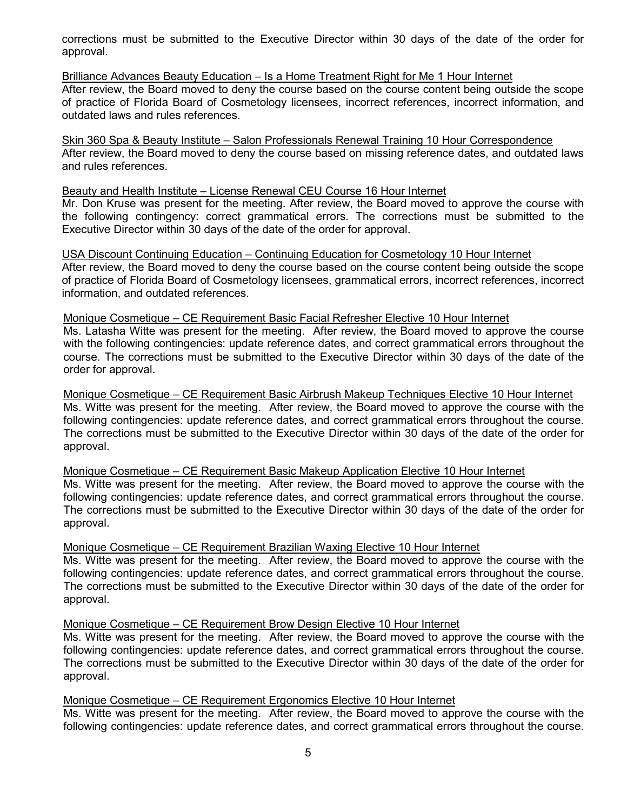corrections must be submitted to the Executive Director within 30 days of the date of the order for approval.

Brilliance Advances Beauty Education – Is a Home Treatment Right for Me 1 Hour Internet After review, the Board moved to deny the course based on the course content being outside the scope of practice of Florida Board of Cosmetology licensees, incorrect references, incorrect information, and outdated laws and rules references.

Skin 360 Spa & Beauty Institute – Salon Professionals Renewal Training 10 Hour Correspondence After review, the Board moved to deny the course based on missing reference dates, and outdated laws and rules references.

#### Beauty and Health Institute – License Renewal CEU Course 16 Hour Internet

Mr. Don Kruse was present for the meeting. After review, the Board moved to approve the course with the following contingency: correct grammatical errors. The corrections must be submitted to the Executive Director within 30 days of the date of the order for approval.

USA Discount Continuing Education – Continuing Education for Cosmetology 10 Hour Internet After review, the Board moved to deny the course based on the course content being outside the scope of practice of Florida Board of Cosmetology licensees, grammatical errors, incorrect references, incorrect information, and outdated references.

#### Monique Cosmetique – CE Requirement Basic Facial Refresher Elective 10 Hour Internet

Ms. Latasha Witte was present for the meeting. After review, the Board moved to approve the course with the following contingencies: update reference dates, and correct grammatical errors throughout the course. The corrections must be submitted to the Executive Director within 30 days of the date of the order for approval.

Monique Cosmetique – CE Requirement Basic Airbrush Makeup Techniques Elective 10 Hour Internet Ms. Witte was present for the meeting. After review, the Board moved to approve the course with the following contingencies: update reference dates, and correct grammatical errors throughout the course. The corrections must be submitted to the Executive Director within 30 days of the date of the order for approval.

Monique Cosmetique – CE Requirement Basic Makeup Application Elective 10 Hour Internet

Ms. Witte was present for the meeting. After review, the Board moved to approve the course with the following contingencies: update reference dates, and correct grammatical errors throughout the course. The corrections must be submitted to the Executive Director within 30 days of the date of the order for approval.

Monique Cosmetique – CE Requirement Brazilian Waxing Elective 10 Hour Internet

Ms. Witte was present for the meeting. After review, the Board moved to approve the course with the following contingencies: update reference dates, and correct grammatical errors throughout the course. The corrections must be submitted to the Executive Director within 30 days of the date of the order for approval.

### Monique Cosmetique – CE Requirement Brow Design Elective 10 Hour Internet

Ms. Witte was present for the meeting. After review, the Board moved to approve the course with the following contingencies: update reference dates, and correct grammatical errors throughout the course. The corrections must be submitted to the Executive Director within 30 days of the date of the order for approval.

### Monique Cosmetique – CE Requirement Ergonomics Elective 10 Hour Internet

Ms. Witte was present for the meeting. After review, the Board moved to approve the course with the following contingencies: update reference dates, and correct grammatical errors throughout the course.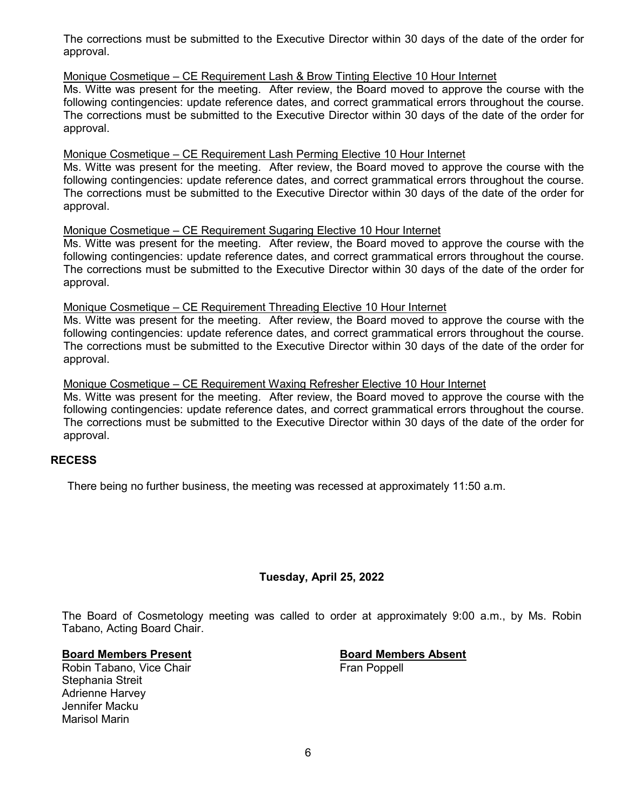The corrections must be submitted to the Executive Director within 30 days of the date of the order for approval.

Monique Cosmetique – CE Requirement Lash & Brow Tinting Elective 10 Hour Internet

Ms. Witte was present for the meeting. After review, the Board moved to approve the course with the following contingencies: update reference dates, and correct grammatical errors throughout the course. The corrections must be submitted to the Executive Director within 30 days of the date of the order for approval.

#### Monique Cosmetique – CE Requirement Lash Perming Elective 10 Hour Internet

Ms. Witte was present for the meeting. After review, the Board moved to approve the course with the following contingencies: update reference dates, and correct grammatical errors throughout the course. The corrections must be submitted to the Executive Director within 30 days of the date of the order for approval.

### Monique Cosmetique – CE Requirement Sugaring Elective 10 Hour Internet

Ms. Witte was present for the meeting. After review, the Board moved to approve the course with the following contingencies: update reference dates, and correct grammatical errors throughout the course. The corrections must be submitted to the Executive Director within 30 days of the date of the order for approval.

#### Monique Cosmetique – CE Requirement Threading Elective 10 Hour Internet

Ms. Witte was present for the meeting. After review, the Board moved to approve the course with the following contingencies: update reference dates, and correct grammatical errors throughout the course. The corrections must be submitted to the Executive Director within 30 days of the date of the order for approval.

#### Monique Cosmetique – CE Requirement Waxing Refresher Elective 10 Hour Internet

Ms. Witte was present for the meeting. After review, the Board moved to approve the course with the following contingencies: update reference dates, and correct grammatical errors throughout the course. The corrections must be submitted to the Executive Director within 30 days of the date of the order for approval.

#### **RECESS**

There being no further business, the meeting was recessed at approximately 11:50 a.m.

## **Tuesday, April 25, 2022**

The Board of Cosmetology meeting was called to order at approximately 9:00 a.m., by Ms. Robin Tabano, Acting Board Chair.

**Board Members Present Board Members Absent** Robin Tabano, Vice Chair Stephania Streit Adrienne Harvey Jennifer Macku Marisol Marin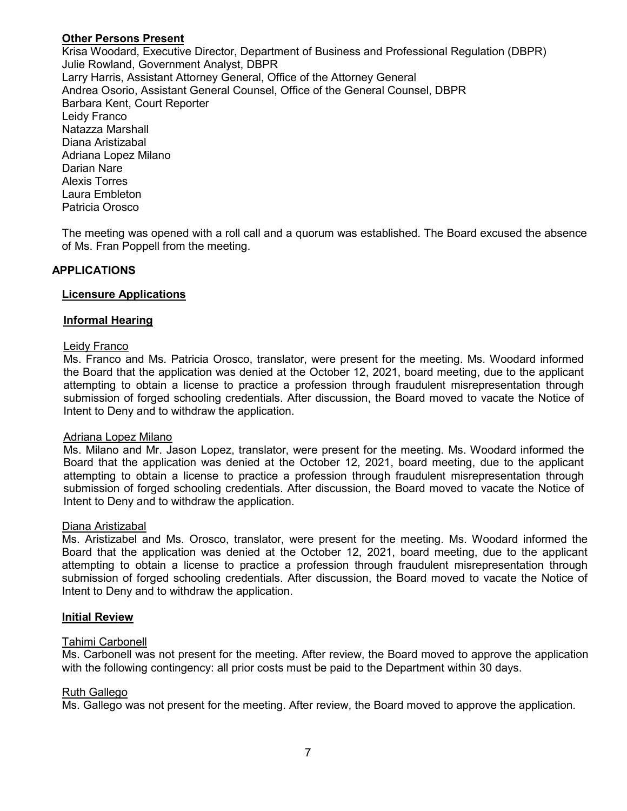## **Other Persons Present**

Krisa Woodard, Executive Director, Department of Business and Professional Regulation (DBPR) Julie Rowland, Government Analyst, DBPR Larry Harris, Assistant Attorney General, Office of the Attorney General Andrea Osorio, Assistant General Counsel, Office of the General Counsel, DBPR Barbara Kent, Court Reporter Leidy Franco Natazza Marshall Diana Aristizabal Adriana Lopez Milano Darian Nare Alexis Torres Laura Embleton Patricia Orosco

The meeting was opened with a roll call and a quorum was established. The Board excused the absence of Ms. Fran Poppell from the meeting.

## **APPLICATIONS**

### **Licensure Applications**

#### **Informal Hearing**

#### Leidy Franco

Ms. Franco and Ms. Patricia Orosco, translator, were present for the meeting. Ms. Woodard informed the Board that the application was denied at the October 12, 2021, board meeting, due to the applicant attempting to obtain a license to practice a profession through fraudulent misrepresentation through submission of forged schooling credentials. After discussion, the Board moved to vacate the Notice of Intent to Deny and to withdraw the application.

#### Adriana Lopez Milano

Ms. Milano and Mr. Jason Lopez, translator, were present for the meeting. Ms. Woodard informed the Board that the application was denied at the October 12, 2021, board meeting, due to the applicant attempting to obtain a license to practice a profession through fraudulent misrepresentation through submission of forged schooling credentials. After discussion, the Board moved to vacate the Notice of Intent to Deny and to withdraw the application.

#### Diana Aristizabal

Ms. Aristizabel and Ms. Orosco, translator, were present for the meeting. Ms. Woodard informed the Board that the application was denied at the October 12, 2021, board meeting, due to the applicant attempting to obtain a license to practice a profession through fraudulent misrepresentation through submission of forged schooling credentials. After discussion, the Board moved to vacate the Notice of Intent to Deny and to withdraw the application.

#### **Initial Review**

#### Tahimi Carbonell

Ms. Carbonell was not present for the meeting. After review, the Board moved to approve the application with the following contingency: all prior costs must be paid to the Department within 30 days.

#### Ruth Gallego

Ms. Gallego was not present for the meeting. After review, the Board moved to approve the application.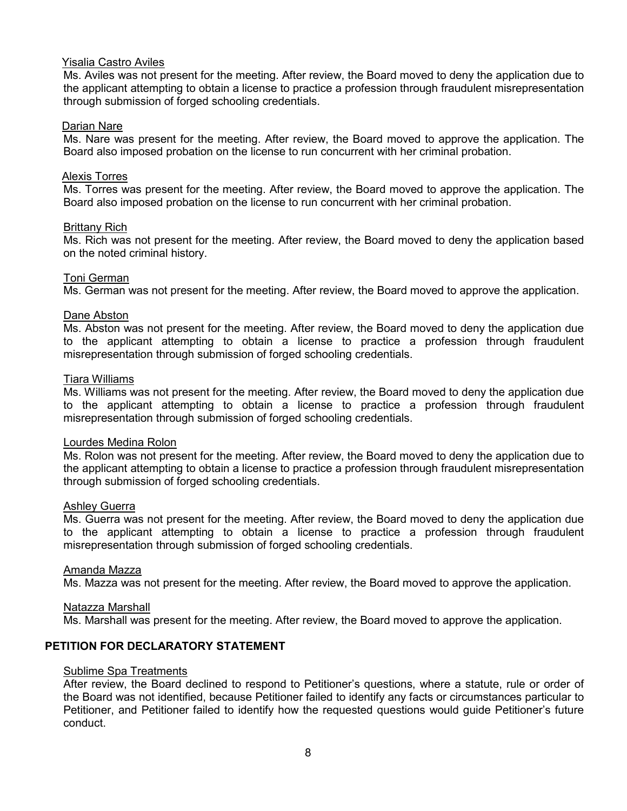### Yisalia Castro Aviles

Ms. Aviles was not present for the meeting. After review, the Board moved to deny the application due to the applicant attempting to obtain a license to practice a profession through fraudulent misrepresentation through submission of forged schooling credentials.

#### Darian Nare

Ms. Nare was present for the meeting. After review, the Board moved to approve the application. The Board also imposed probation on the license to run concurrent with her criminal probation.

#### Alexis Torres

Ms. Torres was present for the meeting. After review, the Board moved to approve the application. The Board also imposed probation on the license to run concurrent with her criminal probation.

#### Brittany Rich

Ms. Rich was not present for the meeting. After review, the Board moved to deny the application based on the noted criminal history.

### Toni German

Ms. German was not present for the meeting. After review, the Board moved to approve the application.

#### Dane Abston

Ms. Abston was not present for the meeting. After review, the Board moved to deny the application due to the applicant attempting to obtain a license to practice a profession through fraudulent misrepresentation through submission of forged schooling credentials.

#### Tiara Williams

Ms. Williams was not present for the meeting. After review, the Board moved to deny the application due to the applicant attempting to obtain a license to practice a profession through fraudulent misrepresentation through submission of forged schooling credentials.

#### Lourdes Medina Rolon

Ms. Rolon was not present for the meeting. After review, the Board moved to deny the application due to the applicant attempting to obtain a license to practice a profession through fraudulent misrepresentation through submission of forged schooling credentials.

#### Ashley Guerra

Ms. Guerra was not present for the meeting. After review, the Board moved to deny the application due to the applicant attempting to obtain a license to practice a profession through fraudulent misrepresentation through submission of forged schooling credentials.

#### Amanda Mazza

Ms. Mazza was not present for the meeting. After review, the Board moved to approve the application.

#### Natazza Marshall

Ms. Marshall was present for the meeting. After review, the Board moved to approve the application.

## **PETITION FOR DECLARATORY STATEMENT**

#### Sublime Spa Treatments

After review, the Board declined to respond to Petitioner's questions, where a statute, rule or order of the Board was not identified, because Petitioner failed to identify any facts or circumstances particular to Petitioner, and Petitioner failed to identify how the requested questions would guide Petitioner's future conduct.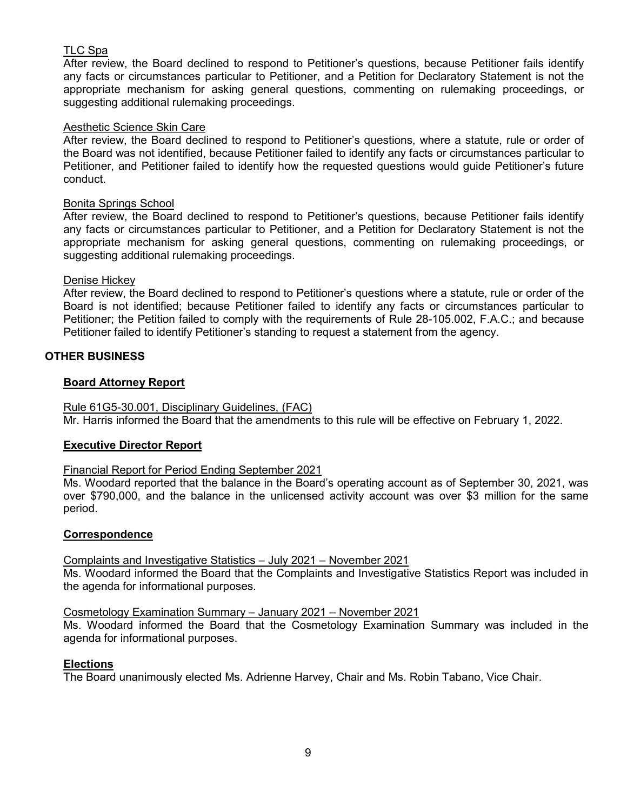## TLC Spa

After review, the Board declined to respond to Petitioner's questions, because Petitioner fails identify any facts or circumstances particular to Petitioner, and a Petition for Declaratory Statement is not the appropriate mechanism for asking general questions, commenting on rulemaking proceedings, or suggesting additional rulemaking proceedings.

### Aesthetic Science Skin Care

After review, the Board declined to respond to Petitioner's questions, where a statute, rule or order of the Board was not identified, because Petitioner failed to identify any facts or circumstances particular to Petitioner, and Petitioner failed to identify how the requested questions would guide Petitioner's future conduct.

#### Bonita Springs School

After review, the Board declined to respond to Petitioner's questions, because Petitioner fails identify any facts or circumstances particular to Petitioner, and a Petition for Declaratory Statement is not the appropriate mechanism for asking general questions, commenting on rulemaking proceedings, or suggesting additional rulemaking proceedings.

### Denise Hickey

After review, the Board declined to respond to Petitioner's questions where a statute, rule or order of the Board is not identified; because Petitioner failed to identify any facts or circumstances particular to Petitioner; the Petition failed to comply with the requirements of Rule 28-105.002, F.A.C.; and because Petitioner failed to identify Petitioner's standing to request a statement from the agency.

## **OTHER BUSINESS**

### **Board Attorney Report**

Rule 61G5-30.001, Disciplinary Guidelines, (FAC) Mr. Harris informed the Board that the amendments to this rule will be effective on February 1, 2022.

#### **Executive Director Report**

#### Financial Report for Period Ending September 2021

Ms. Woodard reported that the balance in the Board's operating account as of September 30, 2021, was over \$790,000, and the balance in the unlicensed activity account was over \$3 million for the same period.

#### **Correspondence**

## Complaints and Investigative Statistics – July 2021 – November 2021

Ms. Woodard informed the Board that the Complaints and Investigative Statistics Report was included in the agenda for informational purposes.

#### Cosmetology Examination Summary – January 2021 – November 2021

Ms. Woodard informed the Board that the Cosmetology Examination Summary was included in the agenda for informational purposes.

#### **Elections**

The Board unanimously elected Ms. Adrienne Harvey, Chair and Ms. Robin Tabano, Vice Chair.